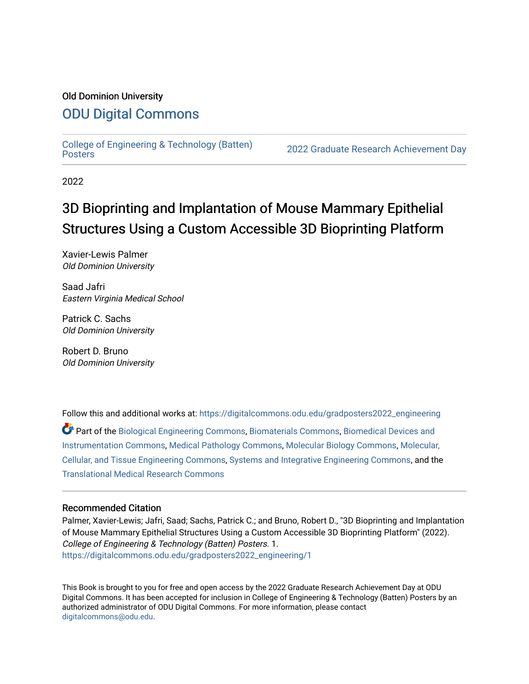### Old Dominion University

### [ODU Digital Commons](https://digitalcommons.odu.edu/)

[College of Engineering & Technology \(Batten\)](https://digitalcommons.odu.edu/gradposters2022_engineering)

2022 Graduate Research Achievement Day

2022

## 3D Bioprinting and Implantation of Mouse Mammary Epithelial Structures Using a Custom Accessible 3D Bioprinting Platform

Xavier-Lewis Palmer Old Dominion University

Saad Jafri Eastern Virginia Medical School

Patrick C. Sachs Old Dominion University

Robert D. Bruno Old Dominion University

Follow this and additional works at: [https://digitalcommons.odu.edu/gradposters2022\\_engineering](https://digitalcommons.odu.edu/gradposters2022_engineering?utm_source=digitalcommons.odu.edu%2Fgradposters2022_engineering%2F1&utm_medium=PDF&utm_campaign=PDFCoverPages)

Part of the [Biological Engineering Commons](http://network.bepress.com/hgg/discipline/230?utm_source=digitalcommons.odu.edu%2Fgradposters2022_engineering%2F1&utm_medium=PDF&utm_campaign=PDFCoverPages), [Biomaterials Commons](http://network.bepress.com/hgg/discipline/233?utm_source=digitalcommons.odu.edu%2Fgradposters2022_engineering%2F1&utm_medium=PDF&utm_campaign=PDFCoverPages), [Biomedical Devices and](http://network.bepress.com/hgg/discipline/235?utm_source=digitalcommons.odu.edu%2Fgradposters2022_engineering%2F1&utm_medium=PDF&utm_campaign=PDFCoverPages)  [Instrumentation Commons](http://network.bepress.com/hgg/discipline/235?utm_source=digitalcommons.odu.edu%2Fgradposters2022_engineering%2F1&utm_medium=PDF&utm_campaign=PDFCoverPages), [Medical Pathology Commons,](http://network.bepress.com/hgg/discipline/676?utm_source=digitalcommons.odu.edu%2Fgradposters2022_engineering%2F1&utm_medium=PDF&utm_campaign=PDFCoverPages) [Molecular Biology Commons](http://network.bepress.com/hgg/discipline/5?utm_source=digitalcommons.odu.edu%2Fgradposters2022_engineering%2F1&utm_medium=PDF&utm_campaign=PDFCoverPages), [Molecular,](http://network.bepress.com/hgg/discipline/236?utm_source=digitalcommons.odu.edu%2Fgradposters2022_engineering%2F1&utm_medium=PDF&utm_campaign=PDFCoverPages) [Cellular, and Tissue Engineering Commons](http://network.bepress.com/hgg/discipline/236?utm_source=digitalcommons.odu.edu%2Fgradposters2022_engineering%2F1&utm_medium=PDF&utm_campaign=PDFCoverPages), [Systems and Integrative Engineering Commons,](http://network.bepress.com/hgg/discipline/237?utm_source=digitalcommons.odu.edu%2Fgradposters2022_engineering%2F1&utm_medium=PDF&utm_campaign=PDFCoverPages) and the [Translational Medical Research Commons](http://network.bepress.com/hgg/discipline/1124?utm_source=digitalcommons.odu.edu%2Fgradposters2022_engineering%2F1&utm_medium=PDF&utm_campaign=PDFCoverPages) 

#### Recommended Citation

Palmer, Xavier-Lewis; Jafri, Saad; Sachs, Patrick C.; and Bruno, Robert D., "3D Bioprinting and Implantation of Mouse Mammary Epithelial Structures Using a Custom Accessible 3D Bioprinting Platform" (2022). College of Engineering & Technology (Batten) Posters. 1. [https://digitalcommons.odu.edu/gradposters2022\\_engineering/1](https://digitalcommons.odu.edu/gradposters2022_engineering/1?utm_source=digitalcommons.odu.edu%2Fgradposters2022_engineering%2F1&utm_medium=PDF&utm_campaign=PDFCoverPages)

This Book is brought to you for free and open access by the 2022 Graduate Research Achievement Day at ODU Digital Commons. It has been accepted for inclusion in College of Engineering & Technology (Batten) Posters by an authorized administrator of ODU Digital Commons. For more information, please contact [digitalcommons@odu.edu](mailto:digitalcommons@odu.edu).